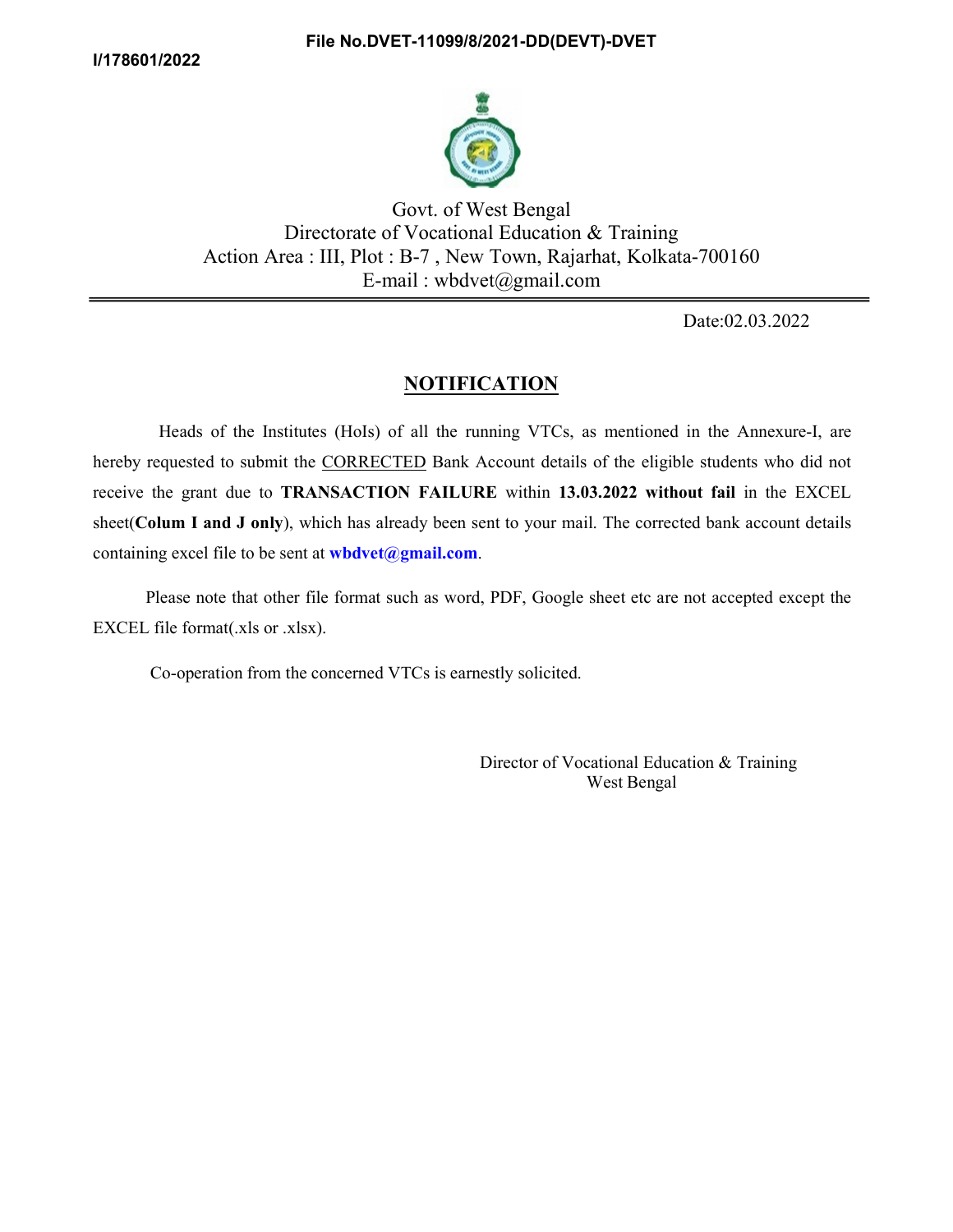

 Govt. of West Bengal Directorate of Vocational Education & Training Action Area : III, Plot : B-7 , New Town, Rajarhat, Kolkata-700160 E-mail : wbdvet@gmail.com

Date:02.03.2022

## NOTIFICATION

 Heads of the Institutes (HoIs) of all the running VTCs, as mentioned in the Annexure-I, are hereby requested to submit the **CORRECTED** Bank Account details of the eligible students who did not receive the grant due to TRANSACTION FAILURE within 13.03.2022 without fail in the EXCEL sheet(Colum I and J only), which has already been sent to your mail. The corrected bank account details containing excel file to be sent at **wbdvet@gmail.com**.<br>Please note that other file format such as word, PDF, Google sheet etc are not accepted except the

EXCEL file format(.xls or .xlsx).

Co-operation from the concerned VTCs is earnestly solicited.

 Director of Vocational Education & Training West Bengal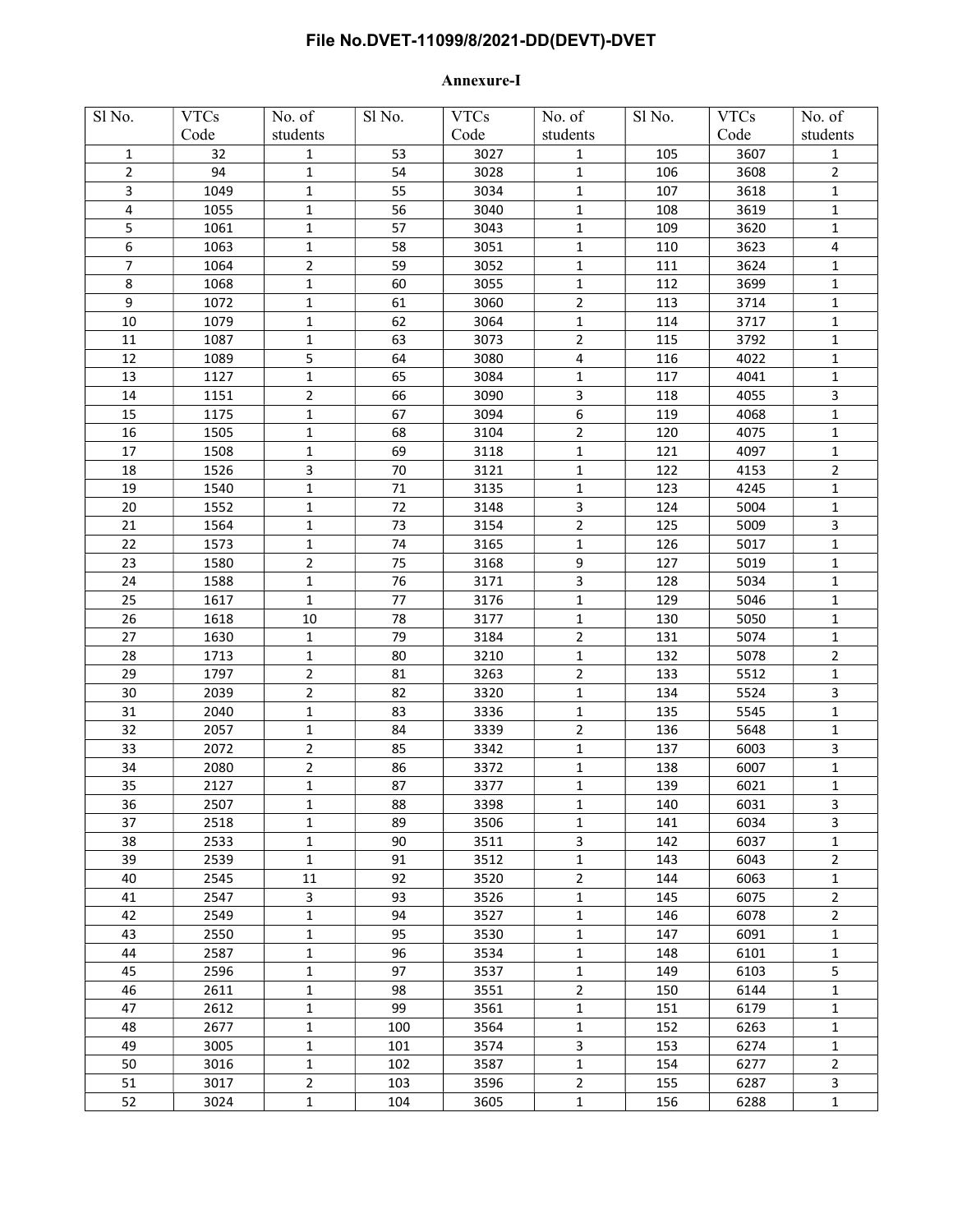## File No.DVET-11099/8/2021-DD(DEVT)-DVET

## Annexure-I

| Sl No.                  | <b>VTCs</b> | No. of         | Sl No. | <b>VTCs</b> | No. of         | Sl No. | <b>VTCs</b> | No. of         |
|-------------------------|-------------|----------------|--------|-------------|----------------|--------|-------------|----------------|
|                         | Code        | students       |        | Code        | $\rm students$ |        | Code        | students       |
| 1                       | 32          | 1              | 53     | 3027        | 1              | 105    | 3607        | 1              |
| $\overline{2}$          | 94          | $\mathbf{1}$   | 54     | 3028        | 1              | 106    | 3608        | $\overline{2}$ |
| 3                       | 1049        | $\mathbf{1}$   | 55     | 3034        | 1              | 107    | 3618        | $\mathbf{1}$   |
| $\overline{\mathbf{4}}$ | 1055        | $\mathbf{1}$   | 56     | 3040        | 1              | 108    | 3619        | $\mathbf{1}$   |
| 5                       | 1061        | 1              | 57     | 3043        | 1              | 109    | 3620        | $\mathbf{1}$   |
| 6                       | 1063        | $\mathbf{1}$   | 58     | 3051        | 1              | 110    | 3623        | 4              |
| 7                       | 1064        | $\overline{2}$ | 59     | 3052        | 1              | 111    | 3624        | 1              |
| 8                       | 1068        | 1              | 60     | 3055        | 1              | 112    | 3699        | $\mathbf{1}$   |
| 9                       | 1072        | 1              | 61     | 3060        | $\overline{2}$ | 113    | 3714        | $\mathbf{1}$   |
| 10                      | 1079        | $\mathbf{1}$   | 62     | 3064        | 1              | 114    | 3717        | 1              |
| 11                      | 1087        | $\mathbf{1}$   | 63     | 3073        | $\overline{2}$ | 115    | 3792        | $\mathbf{1}$   |
|                         |             |                |        |             |                |        |             |                |
| 12                      | 1089        | 5              | 64     | 3080        | 4              | 116    | 4022        | $\mathbf{1}$   |
| 13                      | 1127        | $\mathbf{1}$   | 65     | 3084        | 1              | 117    | 4041        | 1              |
| 14                      | 1151        | $\overline{2}$ | 66     | 3090        | 3              | 118    | 4055        | 3              |
| 15                      | 1175        | $\mathbf 1$    | 67     | 3094        | 6              | 119    | 4068        | $\mathbf{1}$   |
| 16                      | 1505        | $\mathbf{1}$   | 68     | 3104        | $\overline{2}$ | 120    | 4075        | $\mathbf{1}$   |
| 17                      | 1508        | $\mathbf{1}$   | 69     | 3118        | $\mathbf{1}$   | 121    | 4097        | $\mathbf{1}$   |
| 18                      | 1526        | 3              | $70\,$ | 3121        | 1              | 122    | 4153        | $\overline{2}$ |
| 19                      | 1540        | $\mathbf{1}$   | 71     | 3135        | 1              | 123    | 4245        | $\mathbf{1}$   |
| $20\,$                  | 1552        | $\mathbf{1}$   | 72     | 3148        | 3              | 124    | 5004        | $\mathbf{1}$   |
| 21                      | 1564        | 1              | 73     | 3154        | $\overline{2}$ | 125    | 5009        | 3              |
| 22                      | 1573        | $\mathbf{1}$   | 74     | 3165        | $\mathbf{1}$   | 126    | 5017        | $\mathbf{1}$   |
| 23                      | 1580        | $\overline{2}$ | 75     | 3168        | 9              | 127    | 5019        | 1              |
| 24                      | 1588        | $\mathbf{1}$   | 76     | 3171        | 3              | 128    | 5034        | $\mathbf{1}$   |
| 25                      | 1617        | $\mathbf{1}$   | 77     | 3176        | $\mathbf 1$    | 129    | 5046        | $\mathbf{1}$   |
| 26                      | 1618        | 10             | 78     | 3177        | $\mathbf 1$    | 130    | 5050        | $\mathbf 1$    |
| 27                      | 1630        | $\mathbf{1}$   | 79     | 3184        | $\mathbf 2$    | 131    | 5074        | $\mathbf{1}$   |
| 28                      | 1713        | $\mathbf{1}$   | 80     | 3210        | $\mathbf 1$    | 132    | 5078        | $\overline{2}$ |
| 29                      | 1797        | $\overline{2}$ | 81     | 3263        | $\overline{2}$ | 133    | 5512        | $\mathbf{1}$   |
| 30                      | 2039        | $\overline{2}$ | 82     | 3320        | $\mathbf{1}$   | 134    | 5524        | $\mathbf{3}$   |
| 31                      | 2040        | $\mathbf{1}$   | 83     | 3336        | $\mathbf{1}$   | 135    | 5545        | $\mathbf{1}$   |
| 32                      | 2057        | 1              | 84     | 3339        | 2              | 136    | 5648        | $\mathbf{1}$   |
| 33                      | 2072        | $\overline{2}$ | 85     | 3342        | $\mathbf 1$    | 137    | 6003        | 3              |
| 34                      | 2080        | $\overline{2}$ | 86     | 3372        | $\mathbf 1$    | 138    | 6007        | $\mathbf{1}$   |
| 35                      | 2127        | $\mathbf{1}$   | 87     | 3377        | $\mathbf{1}$   | 139    | 6021        | $\mathbf{1}$   |
| 36                      | 2507        | 1              | 88     | 3398        | 1              | 140    | 6031        | 3              |
| 37                      | 2518        | $\mathbf{1}$   | 89     | 3506        | 1              | 141    | 6034        | $\mathbf{3}$   |
| 38                      | 2533        | $\mathbf 1$    | 90     | 3511        | 3              | 142    | 6037        | $\mathbf 1$    |
| 39                      | 2539        | $\mathbf 1$    | 91     | 3512        | $\mathbf 1$    | 143    | 6043        | $\overline{2}$ |
| 40                      | 2545        | 11             | 92     | 3520        | $\overline{2}$ | 144    | 6063        | $\mathbf 1$    |
| 41                      | 2547        | $\mathbf{3}$   | 93     | 3526        | $\mathbf 1$    | 145    | 6075        | $\overline{2}$ |
| 42                      | 2549        | $\mathbf 1$    | 94     | 3527        | $\mathbf 1$    | 146    | 6078        | $\overline{2}$ |
| 43                      | 2550        | $\mathbf{1}$   | 95     | 3530        | $\mathbf 1$    | 147    | 6091        | $\mathbf{1}$   |
|                         |             |                |        |             |                |        |             |                |
| 44                      | 2587        | $\mathbf{1}$   | 96     | 3534        | $\mathbf 1$    | 148    | 6101        | $\mathbf{1}$   |
| 45                      | 2596        | $\mathbf 1$    | 97     | 3537        | $\mathbf 1$    | 149    | 6103        | 5              |
| 46                      | 2611        | $\mathbf 1$    | 98     | 3551        | $\overline{2}$ | 150    | 6144        | $\mathbf 1$    |
| 47                      | 2612        | $\mathbf{1}$   | 99     | 3561        | $\mathbf 1$    | 151    | 6179        | $\mathbf{1}$   |
| 48                      | 2677        | $\mathbf{1}$   | 100    | 3564        | 1              | 152    | 6263        | $\mathbf{1}$   |
| 49                      | 3005        | $\mathbf{1}$   | 101    | 3574        | 3              | 153    | 6274        | $\mathbf{1}$   |
| 50                      | 3016        | $\mathbf{1}$   | 102    | 3587        | $\mathbf 1$    | 154    | 6277        | $\overline{2}$ |
| 51                      | 3017        | $\overline{2}$ | 103    | 3596        | $\overline{2}$ | 155    | 6287        | 3              |
| 52                      | 3024        | $\mathbf 1$    | 104    | 3605        | 1              | 156    | 6288        | $\mathbf 1$    |